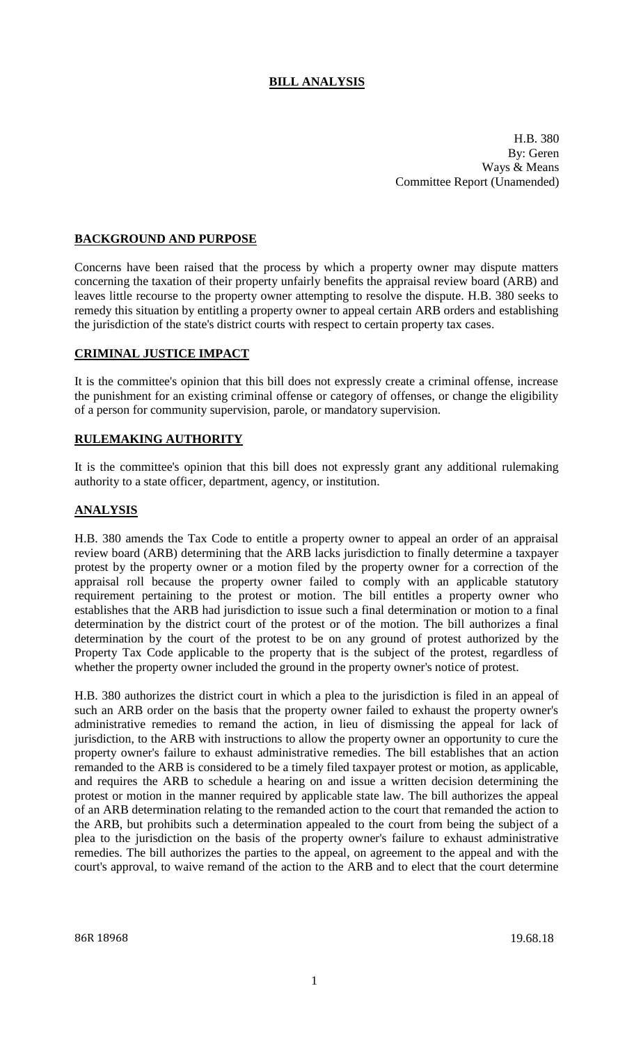# **BILL ANALYSIS**

H.B. 380 By: Geren Ways & Means Committee Report (Unamended)

### **BACKGROUND AND PURPOSE**

Concerns have been raised that the process by which a property owner may dispute matters concerning the taxation of their property unfairly benefits the appraisal review board (ARB) and leaves little recourse to the property owner attempting to resolve the dispute. H.B. 380 seeks to remedy this situation by entitling a property owner to appeal certain ARB orders and establishing the jurisdiction of the state's district courts with respect to certain property tax cases.

#### **CRIMINAL JUSTICE IMPACT**

It is the committee's opinion that this bill does not expressly create a criminal offense, increase the punishment for an existing criminal offense or category of offenses, or change the eligibility of a person for community supervision, parole, or mandatory supervision.

#### **RULEMAKING AUTHORITY**

It is the committee's opinion that this bill does not expressly grant any additional rulemaking authority to a state officer, department, agency, or institution.

### **ANALYSIS**

H.B. 380 amends the Tax Code to entitle a property owner to appeal an order of an appraisal review board (ARB) determining that the ARB lacks jurisdiction to finally determine a taxpayer protest by the property owner or a motion filed by the property owner for a correction of the appraisal roll because the property owner failed to comply with an applicable statutory requirement pertaining to the protest or motion. The bill entitles a property owner who establishes that the ARB had jurisdiction to issue such a final determination or motion to a final determination by the district court of the protest or of the motion. The bill authorizes a final determination by the court of the protest to be on any ground of protest authorized by the Property Tax Code applicable to the property that is the subject of the protest, regardless of whether the property owner included the ground in the property owner's notice of protest.

H.B. 380 authorizes the district court in which a plea to the jurisdiction is filed in an appeal of such an ARB order on the basis that the property owner failed to exhaust the property owner's administrative remedies to remand the action, in lieu of dismissing the appeal for lack of jurisdiction, to the ARB with instructions to allow the property owner an opportunity to cure the property owner's failure to exhaust administrative remedies. The bill establishes that an action remanded to the ARB is considered to be a timely filed taxpayer protest or motion, as applicable, and requires the ARB to schedule a hearing on and issue a written decision determining the protest or motion in the manner required by applicable state law. The bill authorizes the appeal of an ARB determination relating to the remanded action to the court that remanded the action to the ARB, but prohibits such a determination appealed to the court from being the subject of a plea to the jurisdiction on the basis of the property owner's failure to exhaust administrative remedies. The bill authorizes the parties to the appeal, on agreement to the appeal and with the court's approval, to waive remand of the action to the ARB and to elect that the court determine